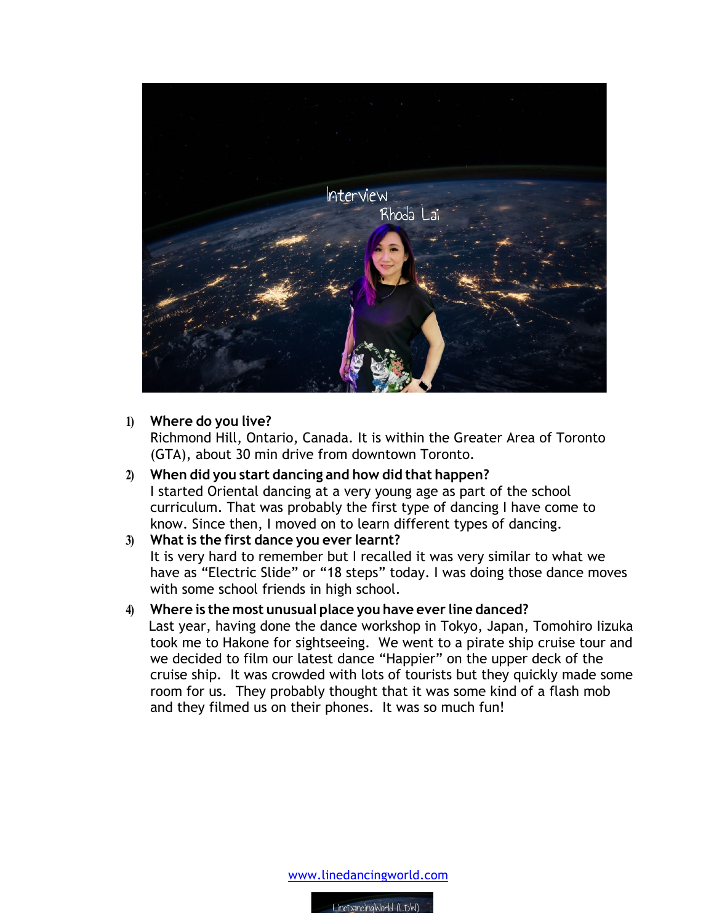

## **1) Where do you live?**

Richmond Hill, Ontario, Canada. It is within the Greater Area of Toronto (GTA), about 30 min drive from downtown Toronto.

**2) When did you start dancing and how did that happen?** I started Oriental dancing at a very young age as part of the school curriculum. That was probably the first type of dancing I have come to know. Since then, I moved on to learn different types of dancing.

## **3) What is the first dance you ever learnt?**

It is very hard to remember but I recalled it was very similar to what we have as "Electric Slide" or "18 steps" today. I was doing those dance moves with some school friends in high school.

## **4) Where is the most unusual place you have ever line danced?**

 Last year, having done the dance workshop in Tokyo, Japan, Tomohiro Iizuka took me to Hakone for sightseeing. We went to a pirate ship cruise tour and we decided to film our latest dance "Happier" on the upper deck of the cruise ship. It was crowded with lots of tourists but they quickly made some room for us. They probably thought that it was some kind of a flash mob and they filmed us on their phones. It was so much fun!

www.linedancingworld.com

LineDancingWorld (LDW)